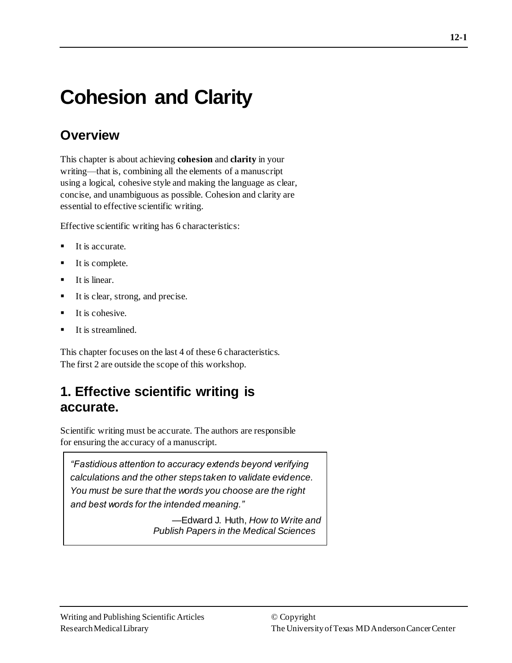# **Cohesion and Clarity**

# **Overview**

This chapter is about achieving **cohesion** and **clarity** in your writing—that is, combining all the elements of a manuscript using a logical, cohesive style and making the language as clear, concise, and unambiguous as possible. Cohesion and clarity are essential to effective scientific writing.

Effective scientific writing has 6 characteristics:

- It is accurate.
- It is complete.
- It is linear.
- It is clear, strong, and precise.
- It is cohesive.
- It is streamlined.

This chapter focuses on the last 4 of these 6 characteristics. The first 2 are outside the scope of this workshop.

# **1. Effective scientific writing is accurate.**

Scientific writing must be accurate. The authors are responsible for ensuring the accuracy of a manuscript.

*"Fastidious attention to accuracy extends beyond verifying calculations and the other steps taken to validate evidence. You must be sure that the words you choose are the right and best words for the intended meaning."*

> —Edward J. Huth, *How to Write and Publish Papers in the Medical Sciences*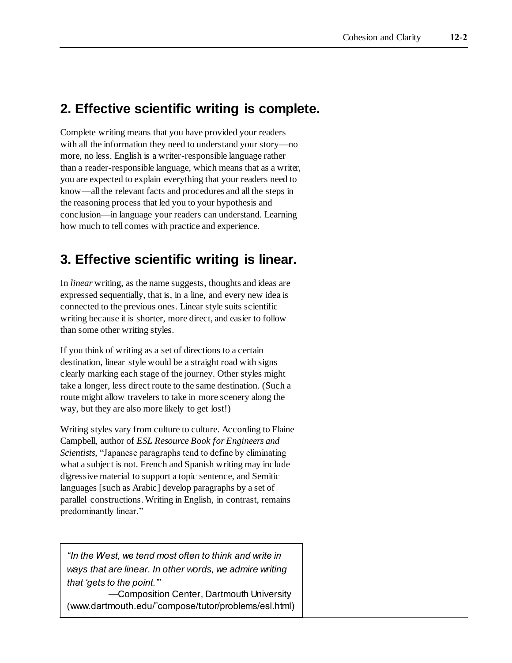# **2. Effective scientific writing is complete.**

Complete writing means that you have provided your readers with all the information they need to understand your story—no more, no less. English is a writer-responsible language rather than a reader-responsible language, which means that as a writer, you are expected to explain everything that your readers need to know—all the relevant facts and procedures and all the steps in the reasoning process that led you to your hypothesis and conclusion—in language your readers can understand. Learning how much to tell comes with practice and experience.

# **3. Effective scientific writing is linear.**

In *linear* writing, as the name suggests, thoughts and ideas are expressed sequentially, that is, in a line, and every new idea is connected to the previous ones. Linear style suits scientific writing because it is shorter, more direct, and easier to follow than some other writing styles.

If you think of writing as a set of directions to a certain destination, linear style would be a straight road with signs clearly marking each stage of the journey. Other styles might take a longer, less direct route to the same destination. (Such a route might allow travelers to take in more scenery along the way, but they are also more likely to get lost!)

Writing styles vary from culture to culture. According to Elaine Campbell, author of *ESL Resource Book for Engineers and Scientists,* "Japanese paragraphs tend to define by eliminating what a subject is not. French and Spanish writing may include digressive material to support a topic sentence, and Semitic languages [such as Arabic] develop paragraphs by a set of parallel constructions. Writing in English, in contrast, remains predominantly linear."

*"In the West, we tend most often to think and write in ways that are linear. In other words, we admire writing that 'gets to the point.'"*

—Composition Center, Dartmouth University (www.dartmouth.edu/˜compose/tutor/problems/esl.html)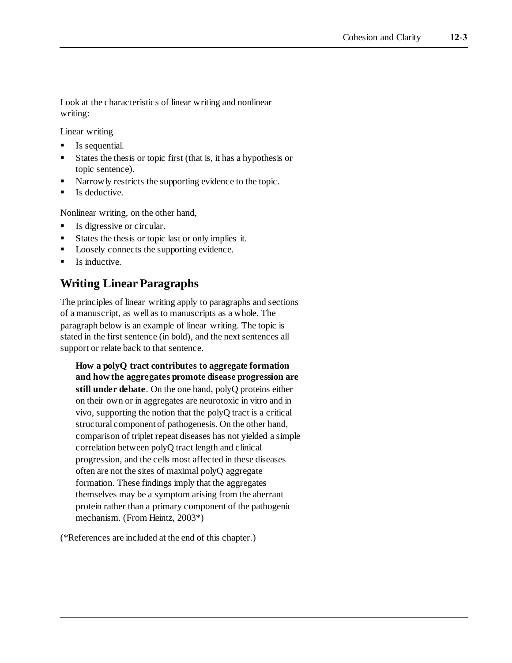Look at the characteristics of linear writing and nonlinear writing:

Linear writing

- Is sequential.
- States the thesis or topic first (that is, it has a hypothesis or topic sentence).
- Narrowly restricts the supporting evidence to the topic.
- Is deductive.

Nonlinear writing, on the other hand,

- Is digressive or circular.
- States the thesis or topic last or only implies it.
- Loosely connects the supporting evidence.
- $\blacksquare$  Is inductive.

### **Writing Linear Paragraphs**

The principles of linear writing apply to paragraphs and sections of a manuscript, as well as to manuscripts as a whole. The paragraph below is an example of linear writing. The topic is stated in the first sentence (in bold), and the next sentences all support or relate back to that sentence.

**How a polyQ tract contributes to aggregate formation and how the aggregates promote disease progression are still under debate**. On the one hand, polyQ proteins either on their own or in aggregates are neurotoxic in vitro and in vivo, supporting the notion that the polyQ tract is a critical structural component of pathogenesis. On the other hand, comparison of triplet repeat diseases has not yielded a simple correlation between polyQ tract length and clinical progression, and the cells most affected in these diseases often are not the sites of maximal polyQ aggregate formation. These findings imply that the aggregates themselves may be a symptom arising from the aberrant protein rather than a primary component of the pathogenic mechanism. (From Heintz, 2003\*)

(\*References are included at the end of this chapter.)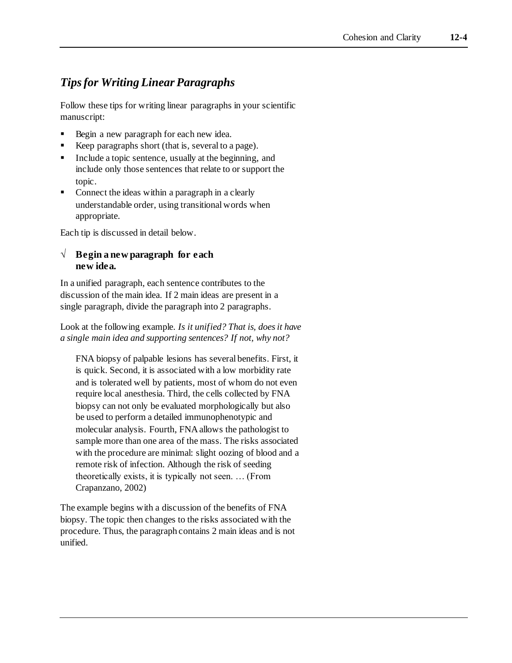### *Tips for Writing Linear Paragraphs*

Follow these tips for writing linear paragraphs in your scientific manuscript:

- Begin a new paragraph for each new idea.
- Keep paragraphs short (that is, several to a page).
- Include a topic sentence, usually at the beginning, and include only those sentences that relate to or support the topic.
- Connect the ideas within a paragraph in a clearly understandable order, using transitional words when appropriate.

Each tip is discussed in detail below.

#### **√ Begin a new paragraph for each new idea.**

In a unified paragraph, each sentence contributes to the discussion of the main idea. If 2 main ideas are present in a single paragraph, divide the paragraph into 2 paragraphs.

Look at the following example. *Is it unified? That is, does it have a single main idea and supporting sentences? If not, why not?*

FNA biopsy of palpable lesions has several benefits. First, it is quick. Second, it is associated with a low morbidity rate and is tolerated well by patients, most of whom do not even require local anesthesia. Third, the cells collected by FNA biopsy can not only be evaluated morphologically but also be used to perform a detailed immunophenotypic and molecular analysis. Fourth, FNA allows the pathologist to sample more than one area of the mass. The risks associated with the procedure are minimal: slight oozing of blood and a remote risk of infection. Although the risk of seeding theoretically exists, it is typically not seen. … (From Crapanzano, 2002)

The example begins with a discussion of the benefits of FNA biopsy. The topic then changes to the risks associated with the procedure. Thus, the paragraph contains 2 main ideas and is not unified.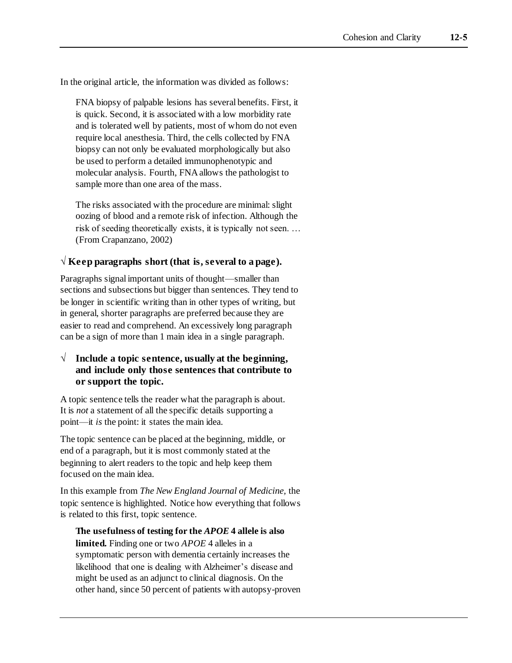In the original article, the information was divided as follows:

FNA biopsy of palpable lesions has several benefits. First, it is quick. Second, it is associated with a low morbidity rate and is tolerated well by patients, most of whom do not even require local anesthesia. Third, the cells collected by FNA biopsy can not only be evaluated morphologically but also be used to perform a detailed immunophenotypic and molecular analysis. Fourth, FNA allows the pathologist to sample more than one area of the mass.

The risks associated with the procedure are minimal: slight oozing of blood and a remote risk of infection. Although the risk of seeding theoretically exists, it is typically not seen. … (From Crapanzano, 2002)

#### **√ Keep paragraphs short (that is, several to a page).**

Paragraphs signal important units of thought—smaller than sections and subsections but bigger than sentences. They tend to be longer in scientific writing than in other types of writing, but in general, shorter paragraphs are preferred because they are easier to read and comprehend. An excessively long paragraph can be a sign of more than 1 main idea in a single paragraph.

#### **√ Include a topic sentence, usually at the beginning, and include only those sentences that contribute to or support the topic.**

A topic sentence tells the reader what the paragraph is about. It is *not* a statement of all the specific details supporting a point—it *is* the point: it states the main idea.

The topic sentence can be placed at the beginning, middle, or end of a paragraph, but it is most commonly stated at the beginning to alert readers to the topic and help keep them focused on the main idea.

In this example from *The New England Journal of Medicine,* the topic sentence is highlighted. Notice how everything that follows is related to this first, topic sentence.

**The usefulness of testing for the** *APOE* **4 allele is also limited.** Finding one or two *APOE* 4 alleles in a symptomatic person with dementia certainly increases the likelihood that one is dealing with Alzheimer's disease and might be used as an adjunct to clinical diagnosis. On the other hand, since 50 percent of patients with autopsy-proven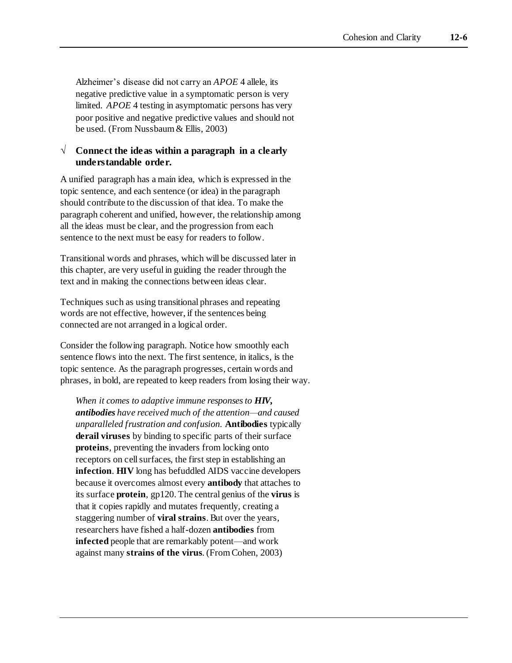Alzheimer's disease did not carry an *APOE* 4 allele, its negative predictive value in a symptomatic person is very limited. *APOE* 4 testing in asymptomatic persons has very poor positive and negative predictive values and should not be used. (From Nussbaum & Ellis, 2003)

#### **√ Connect the ideas within a paragraph in a clearly understandable order.**

A unified paragraph has a main idea, which is expressed in the topic sentence, and each sentence (or idea) in the paragraph should contribute to the discussion of that idea. To make the paragraph coherent and unified, however, the relationship among all the ideas must be clear, and the progression from each sentence to the next must be easy for readers to follow.

Transitional words and phrases, which will be discussed later in this chapter, are very useful in guiding the reader through the text and in making the connections between ideas clear.

Techniques such as using transitional phrases and repeating words are not effective, however, if the sentences being connected are not arranged in a logical order.

Consider the following paragraph. Notice how smoothly each sentence flows into the next. The first sentence, in italics, is the topic sentence. As the paragraph progresses, certain words and phrases, in bold, are repeated to keep readers from losing their way.

*When it comes to adaptive immune responses to HIV, antibodies have received much of the attention—and caused unparalleled frustration and confusion.* **Antibodies** typically **derail viruses** by binding to specific parts of their surface **proteins**, preventing the invaders from locking onto receptors on cell surfaces, the first step in establishing an **infection**. **HIV** long has befuddled AIDS vaccine developers because it overcomes almost every **antibody** that attaches to its surface **protein**, gp120. The central genius of the **virus** is that it copies rapidly and mutates frequently, creating a staggering number of **viral strains**. But over the years, researchers have fished a half-dozen **antibodies** from **infected** people that are remarkably potent—and work against many **strains of the virus**. (From Cohen, 2003)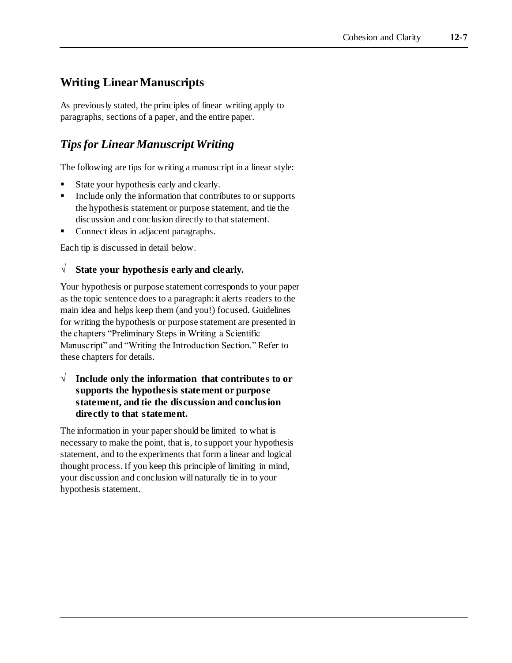### **Writing Linear Manuscripts**

As previously stated, the principles of linear writing apply to paragraphs, sections of a paper, and the entire paper.

### *Tips for Linear Manuscript Writing*

The following are tips for writing a manuscript in a linear style:

- State your hypothesis early and clearly.
- Include only the information that contributes to or supports the hypothesis statement or purpose statement, and tie the discussion and conclusion directly to that statement.
- Connect ideas in adjacent paragraphs.

Each tip is discussed in detail below.

#### **√ State your hypothesis early and clearly.**

Your hypothesis or purpose statement corresponds to your paper as the topic sentence does to a paragraph: it alerts readers to the main idea and helps keep them (and you!) focused. Guidelines for writing the hypothesis or purpose statement are presented in the chapters "Preliminary Steps in Writing a Scientific Manuscript" and "Writing the Introduction Section." Refer to these chapters for details.

**√ Include only the information that contributes to or supports the hypothesis statement or purpose statement, and tie the discussion and conclusion directly to that statement.**

The information in your paper should be limited to what is necessary to make the point, that is, to support your hypothesis statement, and to the experiments that form a linear and logical thought process. If you keep this principle of limiting in mind, your discussion and conclusion will naturally tie in to your hypothesis statement.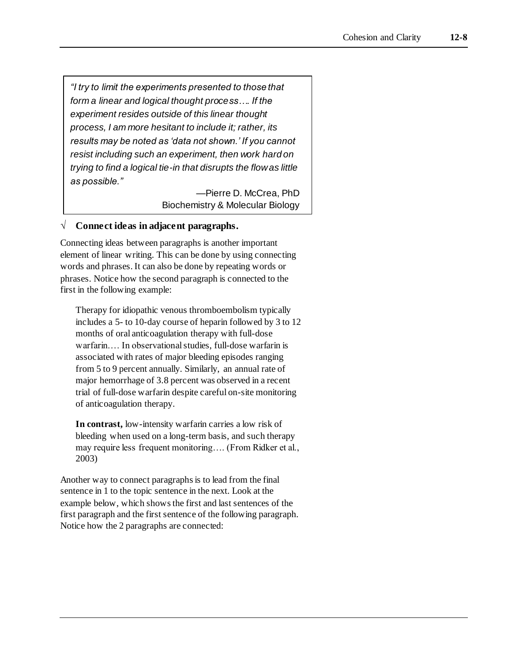*"I try to limit the experiments presented to those that form a linear and logical thought process…. If the experiment resides outside of this linear thought process, I am more hesitant to include it; rather, its results may be noted as 'data not shown.' If you cannot resist including such an experiment, then work hard on trying to find a logical tie-in that disrupts the flow as little as possible."*

> —Pierre D. McCrea, PhD Biochemistry & Molecular Biology

#### **√ Connect ideas in adjacent paragraphs.**

Connecting ideas between paragraphs is another important element of linear writing. This can be done by using connecting words and phrases. It can also be done by repeating words or phrases. Notice how the second paragraph is connected to the first in the following example:

Therapy for idiopathic venous thromboembolism typically includes a 5- to 10-day course of heparin followed by 3 to 12 months of oral anticoagulation therapy with full-dose warfarin.… In observational studies, full-dose warfarin is associated with rates of major bleeding episodes ranging from 5 to 9 percent annually. Similarly, an annual rate of major hemorrhage of 3.8 percent was observed in a recent trial of full-dose warfarin despite careful on-site monitoring of anticoagulation therapy.

**In contrast,** low-intensity warfarin carries a low risk of bleeding when used on a long-term basis, and such therapy may require less frequent monitoring…. (From Ridker et al., 2003)

Another way to connect paragraphs is to lead from the final sentence in 1 to the topic sentence in the next. Look at the example below, which shows the first and last sentences of the first paragraph and the first sentence of the following paragraph. Notice how the 2 paragraphs are connected: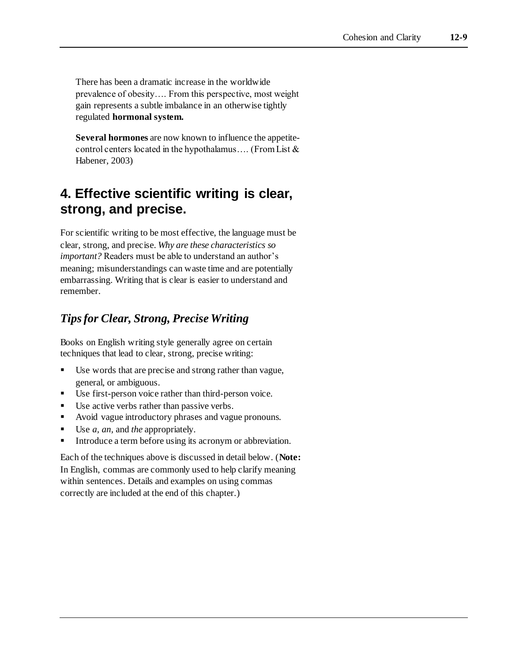There has been a dramatic increase in the worldwide prevalence of obesity…. From this perspective, most weight gain represents a subtle imbalance in an otherwise tightly regulated **hormonal system.**

**Several hormones** are now known to influence the appetitecontrol centers located in the hypothalamus…. (From List & Habener, 2003)

# **4. Effective scientific writing is clear, strong, and precise.**

For scientific writing to be most effective, the language must be clear, strong, and precise. *Why are these characteristics so important?* Readers must be able to understand an author's meaning; misunderstandings can waste time and are potentially embarrassing. Writing that is clear is easier to understand and remember.

### *Tips for Clear, Strong, Precise Writing*

Books on English writing style generally agree on certain techniques that lead to clear, strong, precise writing:

- Use words that are precise and strong rather than vague, general, or ambiguous.
- Use first-person voice rather than third-person voice.
- Use active verbs rather than passive verbs.
- Avoid vague introductory phrases and vague pronouns.
- Use *a, an,* and *the* appropriately.
- Introduce a term before using its acronym or abbreviation.

Each of the techniques above is discussed in detail below. (**Note:**  In English, commas are commonly used to help clarify meaning within sentences. Details and examples on using commas correctly are included at the end of this chapter.)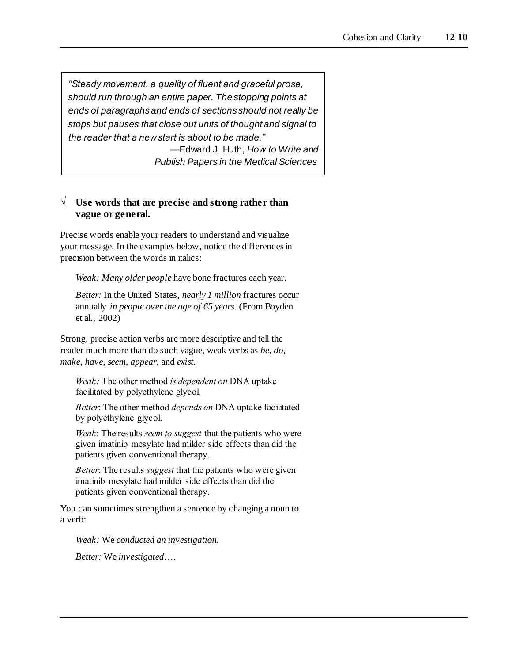*"Steady movement, a quality of fluent and graceful prose, should run through an entire paper. The stopping points at ends of paragraphs and ends of sections should not really be stops but pauses that close out units of thought and signal to the reader that a new start is about to be made."* —Edward J. Huth, *How to Write and* 

*Publish Papers in the Medical Sciences*

#### **√ Use words that are precise and strong rather than vague or general.**

Precise words enable your readers to understand and visualize your message. In the examples below, notice the differences in precision between the words in italics:

*Weak: Many older people* have bone fractures each year.

*Better:* In the United States, *nearly 1 million* fractures occur annually *in people over the age of 65 years.* (From Boyden et al., 2002)

Strong, precise action verbs are more descriptive and tell the reader much more than do such vague, weak verbs as *be, do, make, have, seem, appear,* and *exist*.

*Weak:* The other method *is dependent on* DNA uptake facilitated by polyethylene glycol.

*Better*: The other method *depends on* DNA uptake facilitated by polyethylene glycol.

*Weak*: The results *seem to suggest* that the patients who were given imatinib mesylate had milder side effects than did the patients given conventional therapy.

*Better*: The results *suggest* that the patients who were given imatinib mesylate had milder side effects than did the patients given conventional therapy.

You can sometimes strengthen a sentence by changing a noun to a verb:

*Weak:* We *conducted an investigation.*

*Better:* We *investigated*….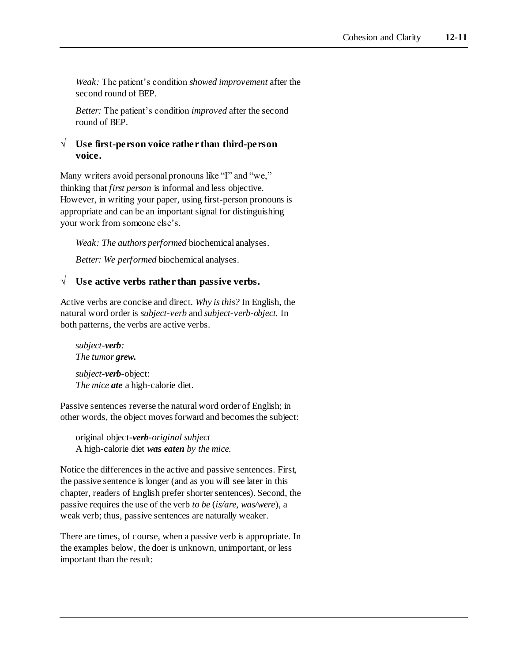*Weak:* The patient's condition *showed improvement* after the second round of BEP.

*Better:* The patient's condition *improved* after the second round of BEP.

#### **√ Use first-person voice rather than third-person voice.**

Many writers avoid personal pronouns like "I" and "we," thinking that *first person* is informal and less objective. However, in writing your paper, using first-person pronouns is appropriate and can be an important signal for distinguishing your work from someone else's.

*Weak: The authors performed* biochemical analyses.

*Better: We performed* biochemical analyses.

#### **√ Use active verbs rather than passive verbs.**

Active verbs are concise and direct. *Why is this?* In English, the natural word order is *subject-verb* and *subject-verb-object.* In both patterns, the verbs are active verbs.

*subject-verb: The tumor grew.*

*subject-verb*-object: *The mice ate* a high-calorie diet.

Passive sentences reverse the natural word order of English; in other words, the object moves forward and becomes the subject:

original object*-verb-original subject* A high-calorie diet *was eaten by the mice.*

Notice the differences in the active and passive sentences. First, the passive sentence is longer (and as you will see later in this chapter, readers of English prefer shorter sentences). Second, the passive requires the use of the verb *to be* (*is/are, was/were*), a weak verb; thus, passive sentences are naturally weaker.

There are times, of course, when a passive verb is appropriate. In the examples below, the doer is unknown, unimportant, or less important than the result: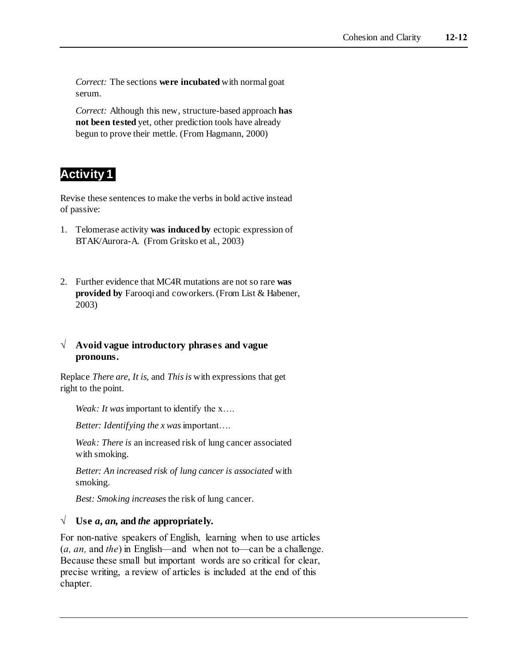*Correct:* The sections **were incubated** with normal goat serum.

*Correct:* Although this new, structure-based approach **has not been tested** yet, other prediction tools have already begun to prove their mettle. (From Hagmann, 2000)

### **Activity 1**

Revise these sentences to make the verbs in bold active instead of passive:

- 1. Telomerase activity **was induced by** ectopic expression of BTAK/Aurora-A. (From Gritsko et al., 2003)
- 2. Further evidence that MC4R mutations are not so rare **was provided by** Farooqi and coworkers. (From List & Habener, 2003)

#### **√ Avoid vague introductory phrases and vague pronouns.**

Replace *There are*, *It is,* and *This is* with expressions that get right to the point.

*Weak: It was* important to identify the x....

*Better: Identifying the x was*important….

*Weak: There is* an increased risk of lung cancer associated with smoking.

*Better: An increased risk of lung cancer is associated* with smoking.

*Best: Smoking increases* the risk of lung cancer.

#### $\sqrt{\ }$  **Use** *a, an,* **and** *the appropriately.*

For non-native speakers of English, learning when to use articles (*a, an,* and *the*) in English—and when not to—can be a challenge. Because these small but important words are so critical for clear, precise writing, a review of articles is included at the end of this chapter.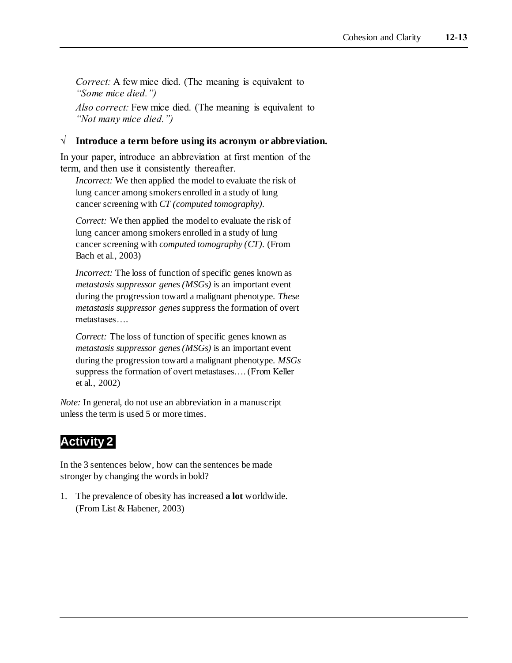*Correct:* A few mice died. (The meaning is equivalent to *"Some mice died.")*

*Also correct:* Few mice died. (The meaning is equivalent to *"Not many mice died.")*

#### **√ Introduce a term before using its acronym or abbreviation.**

In your paper, introduce an abbreviation at first mention of the term, and then use it consistently thereafter.

*Incorrect:* We then applied the model to evaluate the risk of lung cancer among smokers enrolled in a study of lung cancer screening with *CT (computed tomography).*

*Correct:* We then applied the model to evaluate the risk of lung cancer among smokers enrolled in a study of lung cancer screening with *computed tomography (CT).* (From Bach et al., 2003)

*Incorrect:* The loss of function of specific genes known as *metastasis suppressor genes (MSGs)* is an important event during the progression toward a malignant phenotype. *These metastasis suppressor genes* suppress the formation of overt metastases….

*Correct:* The loss of function of specific genes known as *metastasis suppressor genes (MSGs)* is an important event during the progression toward a malignant phenotype. *MSGs*  suppress the formation of overt metastases…. (From Keller et al., 2002)

*Note:* In general, do not use an abbreviation in a manuscript unless the term is used 5 or more times.

# **Activity 2**

In the 3 sentences below, how can the sentences be made stronger by changing the words in bold?

1. The prevalence of obesity has increased **a lot** worldwide. (From List & Habener, 2003)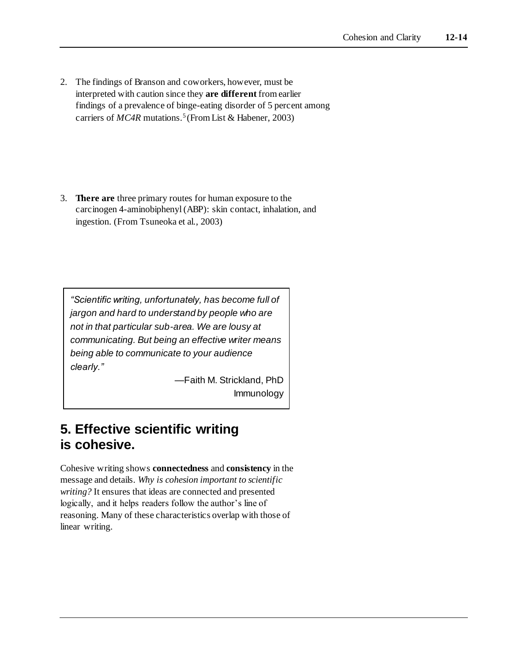2. The findings of Branson and coworkers, however, must be interpreted with caution since they **are different** from earlier findings of a prevalence of binge-eating disorder of 5 percent among carriers of *MC4R* mutations.5 (FromList & Habener, 2003)

3. **There are** three primary routes for human exposure to the carcinogen 4-aminobiphenyl (ABP): skin contact, inhalation, and ingestion. (From Tsuneoka et al., 2003)

*"Scientific writing, unfortunately, has become full of jargon and hard to understand by people who are not in that particular sub-area. We are lousy at communicating. But being an effective writer means being able to communicate to your audience clearly."*

> —Faith M. Strickland, PhD Immunology

# **5. Effective scientific writing is cohesive.**

Cohesive writing shows **connectedness** and **consistency** in the message and details. *Why is cohesion important to scientific writing?* It ensures that ideas are connected and presented logically, and it helps readers follow the author's line of reasoning. Many of these characteristics overlap with those of linear writing.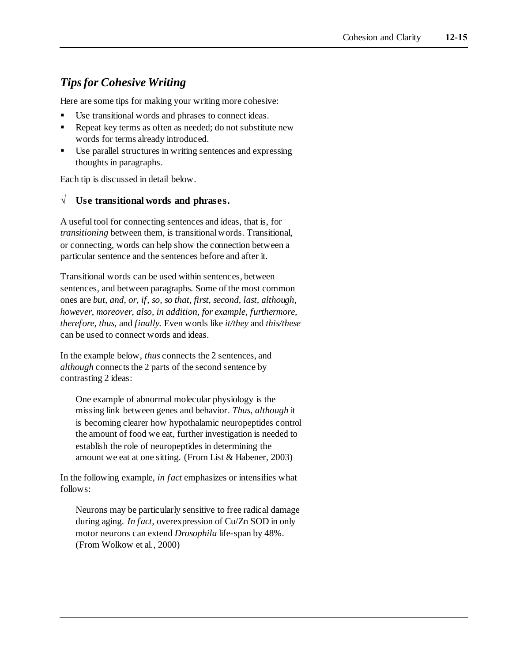### *Tips for Cohesive Writing*

Here are some tips for making your writing more cohesive:

- Use transitional words and phrases to connect ideas.
- Repeat key terms as often as needed; do not substitute new words for terms already introduced.
- Use parallel structures in writing sentences and expressing thoughts in paragraphs.

Each tip is discussed in detail below.

#### **√ Use transitional words and phrases.**

A useful tool for connecting sentences and ideas, that is, for *transitioning* between them, is transitional words. Transitional, or connecting, words can help show the connection between a particular sentence and the sentences before and after it.

Transitional words can be used within sentences, between sentences, and between paragraphs. Some of the most common ones are *but, and, or, if, so, so that, first, second, last, although, however, moreover, also, in addition, for example, furthermore, therefore, thus,* and *finally.* Even words like *it/they* and *this/these* can be used to connect words and ideas.

In the example below, *thus* connects the 2 sentences, and *although* connects the 2 parts of the second sentence by contrasting 2 ideas:

One example of abnormal molecular physiology is the missing link between genes and behavior. *Thus, although* it is becoming clearer how hypothalamic neuropeptides control the amount of food we eat, further investigation is needed to establish the role of neuropeptides in determining the amount we eat at one sitting. (From List & Habener, 2003)

In the following example, *in fact* emphasizes or intensifies what follows:

Neurons may be particularly sensitive to free radical damage during aging. *In fact,* overexpression of Cu/Zn SOD in only motor neurons can extend *Drosophila* life-span by 48%. (From Wolkow et al., 2000)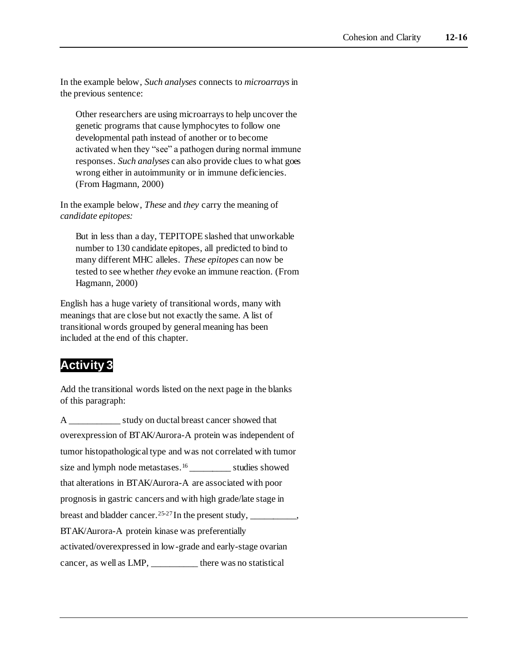In the example below, *Such analyses* connects to *microarrays* in the previous sentence:

Other researchers are using microarrays to help uncover the genetic programs that cause lymphocytes to follow one developmental path instead of another or to become activated when they "see" a pathogen during normal immune responses. *Such analyses* can also provide clues to what goes wrong either in autoimmunity or in immune deficiencies. (From Hagmann, 2000)

In the example below, *These* and *they* carry the meaning of *candidate epitopes:*

But in less than a day, TEPITOPE slashed that unworkable number to 130 candidate epitopes, all predicted to bind to many different MHC alleles. *These epitopes* can now be tested to see whether *they* evoke an immune reaction. (From Hagmann, 2000)

English has a huge variety of transitional words, many with meanings that are close but not exactly the same. A list of transitional words grouped by general meaning has been included at the end of this chapter.

# **Activity 3**

Add the transitional words listed on the next page in the blanks of this paragraph:

```
A ___________ study on ductal breast cancer showed that 
overexpression of BTAK/Aurora-A protein was independent of 
tumor histopathological type and was not correlated with tumor 
size and lymph node metastases.16_________ studies showed 
that alterations in BTAK/Aurora-A are associated with poor 
prognosis in gastric cancers and with high grade/late stage in 
breast and bladder cancer.<sup>25-27</sup> In the present study, __________,
BTAK/Aurora-A protein kinase was preferentially 
activated/overexpressed in low-grade and early-stage ovarian 
cancer, as well as LMP, there was no statistical
```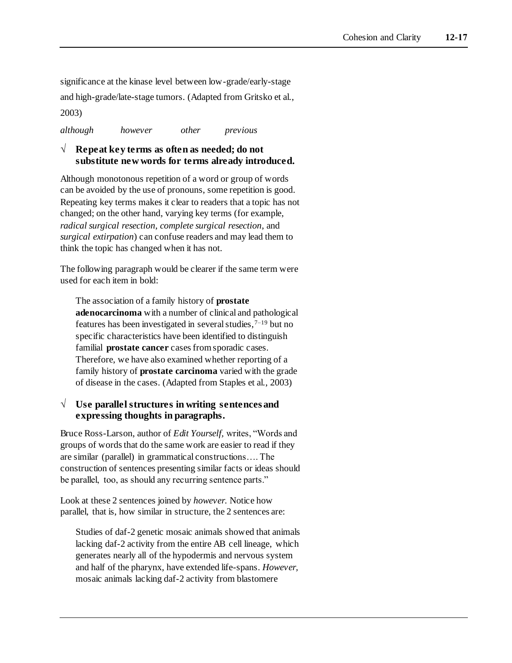significance at the kinase level between low-grade/early-stage and high-grade/late-stage tumors. (Adapted from Gritsko et al., 2003)

*although however other previous*

#### **√ Repeat key terms as often as needed; do not substitute new words for terms already introduced.**

Although monotonous repetition of a word or group of words can be avoided by the use of pronouns, some repetition is good. Repeating key terms makes it clear to readers that a topic has not changed; on the other hand, varying key terms (for example, *radical surgical resection*, *complete surgical resection*, and *surgical extirpation*) can confuse readers and may lead them to think the topic has changed when it has not.

The following paragraph would be clearer if the same term were used for each item in bold:

The association of a family history of **prostate adenocarcinoma** with a number of clinical and pathological features has been investigated in several studies,  $7-19$  but no specific characteristics have been identified to distinguish familial **prostate cancer** cases from sporadic cases. Therefore, we have also examined whether reporting of a family history of **prostate carcinoma** varied with the grade of disease in the cases. (Adapted from Staples et al., 2003)

#### **√ Use parallel structures in writing sentences and expressing thoughts in paragraphs.**

Bruce Ross-Larson, author of *Edit Yourself,* writes, "Words and groups of words that do the same work are easier to read if they are similar (parallel) in grammatical constructions…. The construction of sentences presenting similar facts or ideas should be parallel, too, as should any recurring sentence parts."

Look at these 2 sentences joined by *however.* Notice how parallel, that is, how similar in structure, the 2 sentences are:

Studies of daf-2 genetic mosaic animals showed that animals lacking daf-2 activity from the entire AB cell lineage, which generates nearly all of the hypodermis and nervous system and half of the pharynx, have extended life-spans. *However,*  mosaic animals lacking daf-2 activity from blastomere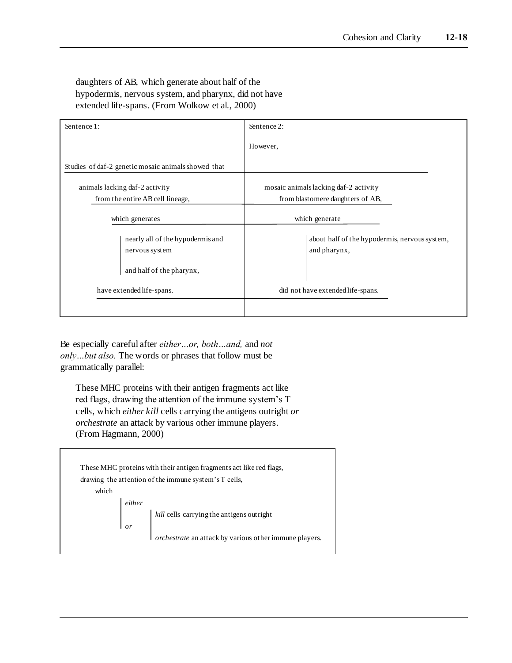daughters of AB, which generate about half of the hypodermis, nervous system, and pharynx, did not have extended life-spans. (From Wolkow et al., 2000)

| Sentence 1:                                                                    | Sentence 2:                                                               |  |
|--------------------------------------------------------------------------------|---------------------------------------------------------------------------|--|
|                                                                                | However,                                                                  |  |
| Studies of daf-2 genetic mosaic animals showed that                            |                                                                           |  |
| animals lacking daf-2 activity<br>from the entire AB cell lineage,             | mosaic animals lacking daf-2 activity<br>from blastomere daughters of AB, |  |
| which generates                                                                | which generate                                                            |  |
| nearly all of the hypodermis and<br>nervous system<br>and half of the pharynx, | about half of the hypodermis, nervous system,<br>and pharynx,             |  |
| have extended life-spans.                                                      | did not have extended life-spans.                                         |  |
|                                                                                |                                                                           |  |

Be especially careful after *either…or, both…and,* and *not only…but also.* The words or phrases that follow must be grammatically parallel:

These MHC proteins with their antigen fragments act like red flags, drawing the attention of the immune system's T cells, which *either kill* cells carrying the antigens outright *or orchestrate* an attack by various other immune players. (From Hagmann, 2000)

|       | These MHC proteins with their antigen fragments act like red flags,<br>drawing the attention of the immune system's T cells,                                                                                                                    |
|-------|-------------------------------------------------------------------------------------------------------------------------------------------------------------------------------------------------------------------------------------------------|
| which |                                                                                                                                                                                                                                                 |
|       |                                                                                                                                                                                                                                                 |
|       | either $\begin{bmatrix} \text{either} \\ \text{or} \end{bmatrix}$ kill cells carrying the antigens outright<br>or $\begin{bmatrix} \text{kill cells} \\ \text{or} \\ \text{brestrate an attack by various other immune players.} \end{bmatrix}$ |
|       |                                                                                                                                                                                                                                                 |
|       |                                                                                                                                                                                                                                                 |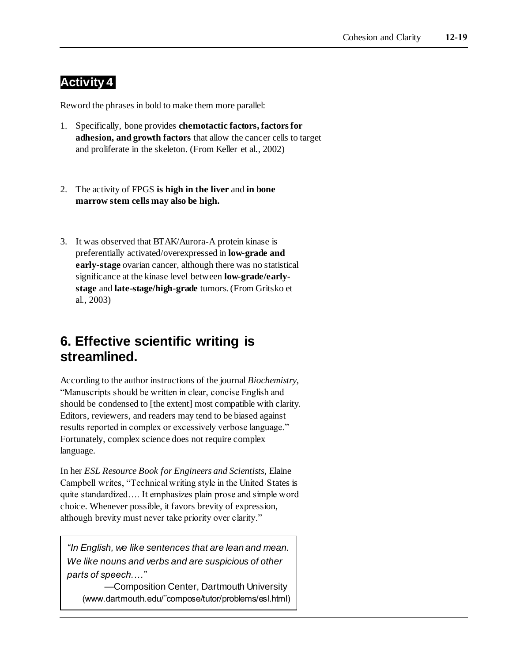# **Activity 4**

Reword the phrases in bold to make them more parallel:

- 1. Specifically, bone provides **chemotactic factors, factors for adhesion, and growth factors** that allow the cancer cells to target and proliferate in the skeleton. (From Keller et al., 2002)
- 2. The activity of FPGS **is high in the liver** and **in bone marrow stem cells may also be high.**
- 3. It was observed that BTAK/Aurora-A protein kinase is preferentially activated/overexpressed in **low-grade and early-stage** ovarian cancer, although there was no statistical significance at the kinase level between **low-grade/earlystage** and **late-stage/high-grade** tumors. (From Gritsko et al., 2003)

# **6. Effective scientific writing is streamlined.**

According to the author instructions of the journal *Biochemistry,* "Manuscripts should be written in clear, concise English and should be condensed to [the extent] most compatible with clarity. Editors, reviewers, and readers may tend to be biased against results reported in complex or excessively verbose language." Fortunately, complex science does not require complex language.

In her *ESL Resource Book for Engineers and Scientists,* Elaine Campbell writes, "Technical writing style in the United States is quite standardized…. It emphasizes plain prose and simple word choice. Whenever possible, it favors brevity of expression, although brevity must never take priority over clarity."

*"In English, we like sentences that are lean and mean. We like nouns and verbs and are suspicious of other parts of speech.…"* 

—Composition Center, Dartmouth University (www.dartmouth.edu/˜compose/tutor/problems/esl.html)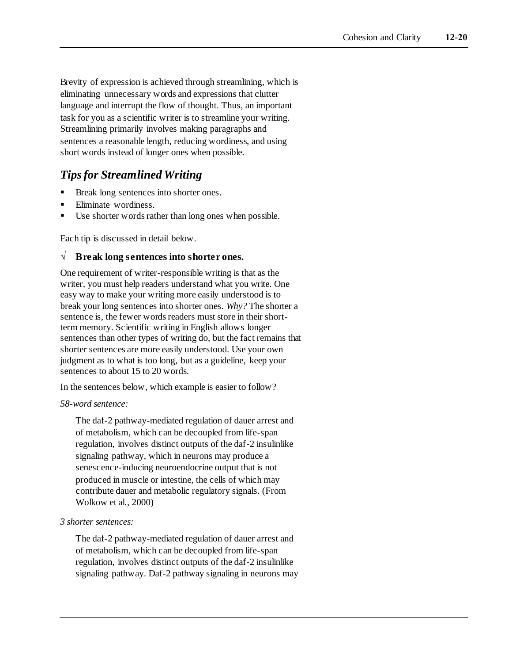Brevity of expression is achieved through streamlining, which is eliminating unnecessary words and expressions that clutter language and interrupt the flow of thought. Thus, an important task for you as a scientific writer is to streamline your writing. Streamlining primarily involves making paragraphs and sentences a reasonable length, reducing wordiness, and using short words instead of longer ones when possible.

### *Tips for Streamlined Writing*

- Break long sentences into shorter ones.
- Eliminate wordiness.
- Use shorter words rather than long ones when possible.

Each tip is discussed in detail below.

#### **√ Break long sentences into shorter ones.**

One requirement of writer-responsible writing is that as the writer, you must help readers understand what you write. One easy way to make your writing more easily understood is to break your long sentences into shorter ones. *Why?* The shorter a sentence is, the fewer words readers must store in their shortterm memory. Scientific writing in English allows longer sentences than other types of writing do, but the fact remains that shorter sentences are more easily understood. Use your own judgment as to what is too long, but as a guideline, keep your sentences to about 15 to 20 words.

In the sentences below, which example is easier to follow?

#### *58-word sentence:*

The daf-2 pathway-mediated regulation of dauer arrest and of metabolism, which can be decoupled from life-span regulation, involves distinct outputs of the daf-2 insulinlike signaling pathway, which in neurons may produce a senescence-inducing neuroendocrine output that is not produced in muscle or intestine, the cells of which may contribute dauer and metabolic regulatory signals. (From Wolkow et al., 2000)

#### *3 shorter sentences:*

The daf-2 pathway-mediated regulation of dauer arrest and of metabolism, which can be decoupled from life-span regulation, involves distinct outputs of the daf-2 insulinlike signaling pathway. Daf-2 pathway signaling in neurons may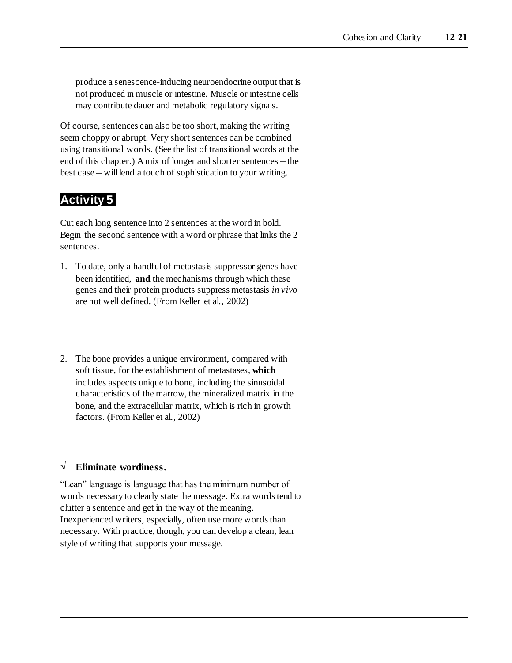produce a senescence-inducing neuroendocrine output that is not produced in muscle or intestine. Muscle or intestine cells may contribute dauer and metabolic regulatory signals.

Of course, sentences can also be too short, making the writing seem choppy or abrupt. Very short sentences can be combined using transitional words. (See the list of transitional words at the end of this chapter.) A mix of longer and shorter sentences—the best case—will lend a touch of sophistication to your writing.

# **Activity 5**

Cut each long sentence into 2 sentences at the word in bold. Begin the second sentence with a word or phrase that links the 2 sentences.

- 1. To date, only a handful of metastasis suppressor genes have been identified, **and** the mechanisms through which these genes and their protein products suppress metastasis *in vivo* are not well defined. (From Keller et al., 2002)
- 2. The bone provides a unique environment, compared with soft tissue, for the establishment of metastases, **which**  includes aspects unique to bone, including the sinusoidal characteristics of the marrow, the mineralized matrix in the bone, and the extracellular matrix, which is rich in growth factors. (From Keller et al., 2002)

### **√ Eliminate wordiness.**

"Lean" language is language that has the minimum number of words necessary to clearly state the message. Extra words tend to clutter a sentence and get in the way of the meaning. Inexperienced writers, especially, often use more words than necessary. With practice, though, you can develop a clean, lean style of writing that supports your message.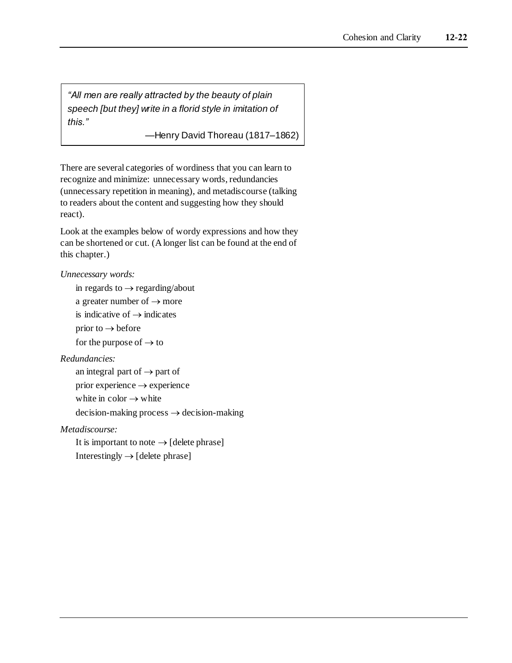*"All men are really attracted by the beauty of plain speech [but they] write in a florid style in imitation of this."*

—Henry David Thoreau (1817–1862)

There are several categories of wordiness that you can learn to recognize and minimize: unnecessary words, redundancies (unnecessary repetition in meaning), and metadiscourse (talking to readers about the content and suggesting how they should react).

Look at the examples below of wordy expressions and how they can be shortened or cut. (A longer list can be found at the end of this chapter.)

#### *Unnecessary words:*

in regards to  $\rightarrow$  regarding/about

a greater number of  $\rightarrow$  more

is indicative of  $\rightarrow$  indicates

prior to  $\rightarrow$  before

for the purpose of  $\rightarrow$  to

#### *Redundancies:*

an integral part of  $\rightarrow$  part of prior experience  $\rightarrow$  experience white in color  $\rightarrow$  white  $decision-making process \rightarrow decision-making$ 

#### *Metadiscourse:*

It is important to note  $\rightarrow$  [delete phrase] Interestingly  $\rightarrow$  [delete phrase]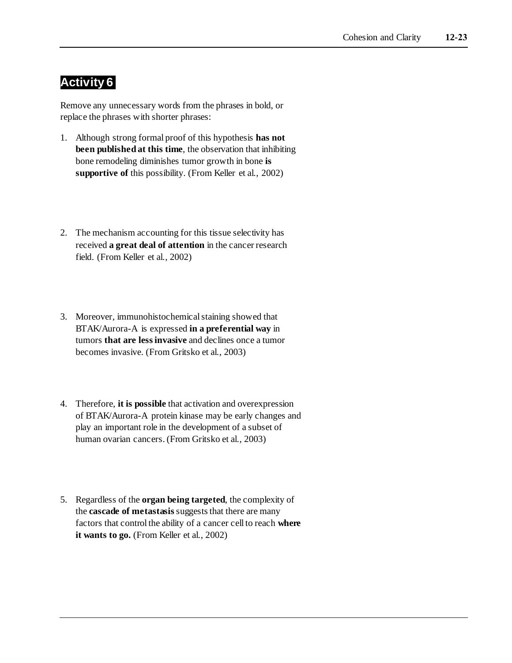# **Activity 6**

Remove any unnecessary words from the phrases in bold, or replace the phrases with shorter phrases:

- 1. Although strong formal proof of this hypothesis **has not been published at this time**, the observation that inhibiting bone remodeling diminishes tumor growth in bone **is supportive of** this possibility. (From Keller et al., 2002)
- 2. The mechanism accounting for this tissue selectivity has received **a great deal of attention** in the cancer research field. (From Keller et al., 2002)
- 3. Moreover, immunohistochemical staining showed that BTAK/Aurora-A is expressed **in a preferential way** in tumors **that are less invasive** and declines once a tumor becomes invasive. (From Gritsko et al., 2003)
- 4. Therefore, **it is possible** that activation and overexpression of BTAK/Aurora-A protein kinase may be early changes and play an important role in the development of a subset of human ovarian cancers. (From Gritsko et al., 2003)
- 5. Regardless of the **organ being targeted**, the complexity of the **cascade of metastasis** suggests that there are many factors that control the ability of a cancer cell to reach **where it wants to go.** (From Keller et al., 2002)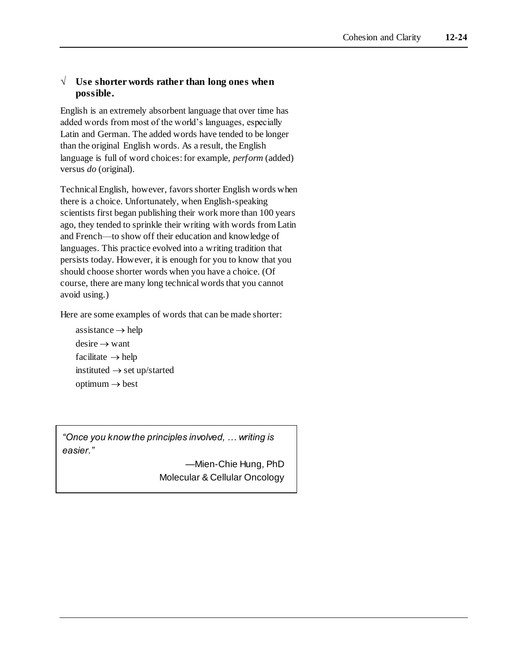#### **√ Use shorter words rather than long ones when possible.**

English is an extremely absorbent language that over time has added words from most of the world's languages, especially Latin and German. The added words have tended to be longer than the original English words. As a result, the English language is full of word choices: for example, *perform* (added) versus *do* (original)*.*

Technical English, however, favors shorter English words when there is a choice. Unfortunately, when English-speaking scientists first began publishing their work more than 100 years ago, they tended to sprinkle their writing with words from Latin and French—to show off their education and knowledge of languages. This practice evolved into a writing tradition that persists today. However, it is enough for you to know that you should choose shorter words when you have a choice. (Of course, there are many long technical words that you cannot avoid using.)

Here are some examples of words that can be made shorter:

 $\text{assistance} \rightarrow \text{help}$  $desire \rightarrow want$  $facilitate \rightarrow help$ instituted  $\rightarrow$  set up/started  $optimum \rightarrow best$ 

*"Once you know the principles involved, … writing is easier."*

> —Mien-Chie Hung, PhD Molecular & Cellular Oncology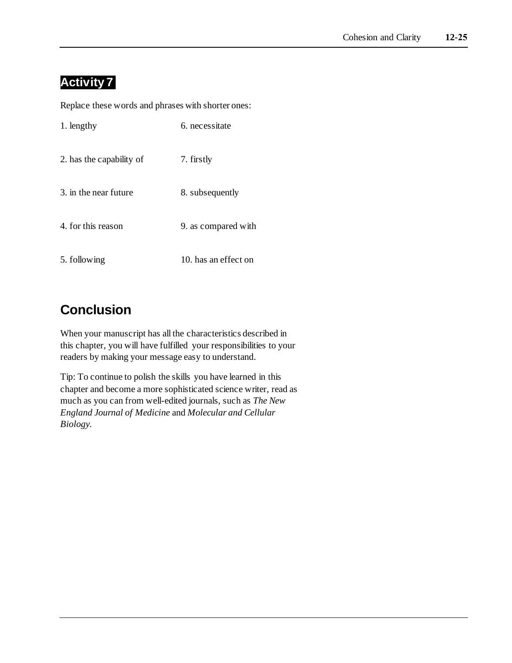# **Activity 7**

Replace these words and phrases with shorter ones:

| 1. lengthy               | 6. necessitate       |
|--------------------------|----------------------|
| 2. has the capability of | 7. firstly           |
| 3. in the near future    | 8. subsequently      |
| 4. for this reason       | 9. as compared with  |
| 5. following             | 10. has an effect on |

# **Conclusion**

When your manuscript has all the characteristics described in this chapter, you will have fulfilled your responsibilities to your readers by making your message easy to understand.

Tip: To continue to polish the skills you have learned in this chapter and become a more sophisticated science writer, read as much as you can from well-edited journals, such as *The New England Journal of Medicine* and *Molecular and Cellular Biology.*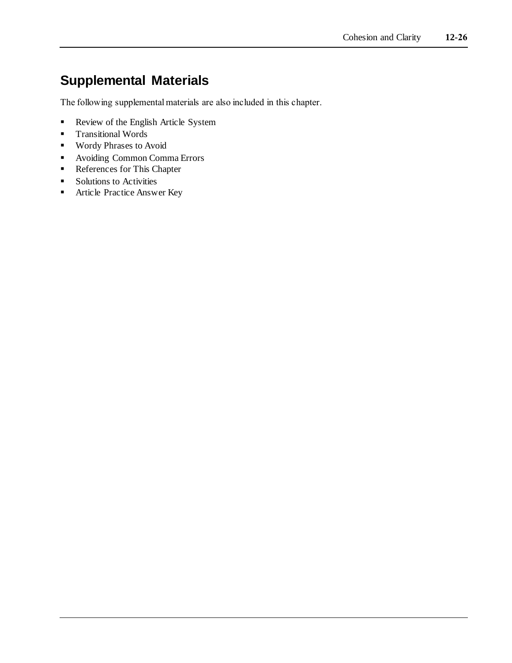# **Supplemental Materials**

The following supplemental materials are also included in this chapter.

- **•** Review of the English Article System
- **Transitional Words**
- Wordy Phrases to Avoid
- Avoiding Common Comma Errors
- References for This Chapter
- Solutions to Activities
- **EXECUTE:** Article Practice Answer Key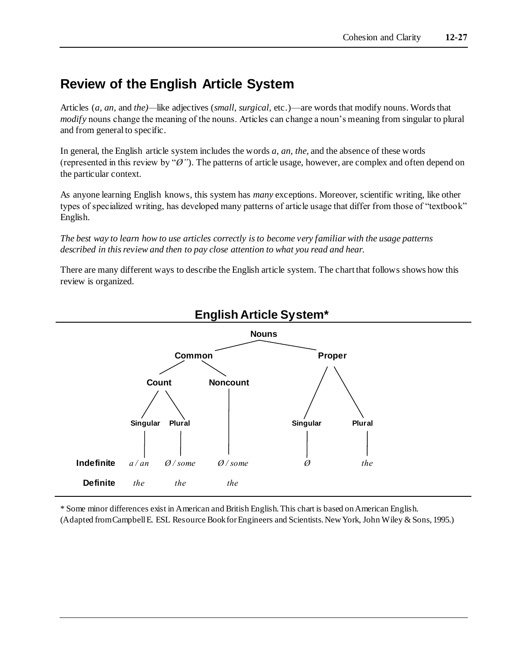# **Review of the English Article System**

Articles (*a, an,* and *the)—*like adjectives (*small, surgical,* etc.)—are words that modify nouns. Words that *modify* nouns change the meaning of the nouns. Articles can change a noun's meaning from singular to plural and from general to specific.

In general, the English article system includes the words *a, an, the,* and the absence of these words (represented in this review by "*Ø"*). The patterns of article usage, however, are complex and often depend on the particular context.

As anyone learning English knows, this system has *many* exceptions. Moreover, scientific writing, like other types of specialized writing, has developed many patterns of article usage that differ from those of "textbook" English.

*The best way to learn how to use articles correctly is to become very familiar with the usage patterns described in this review and then to pay close attention to what you read and hear.*

There are many different ways to describe the English article system. The chart that follows shows how this review is organized.



### **English Article System\***

\* Some minor differences exist in American and British English. This chart is based on American English. (Adapted from Campbell E. ESL Resource Book for Engineers and Scientists. New York, John Wiley & Sons, 1995.)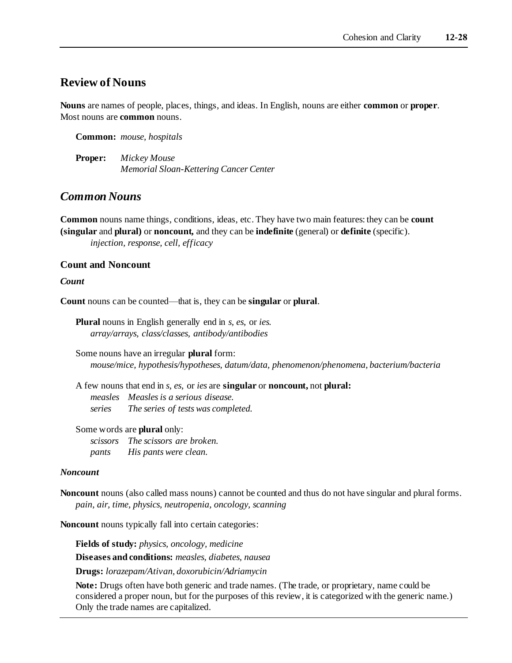#### **Review of Nouns**

**Nouns** are names of people, places, things, and ideas. In English, nouns are either **common** or **proper**. Most nouns are **common** nouns.

**Common:** *mouse, hospitals*

**Proper:** *Mickey Mouse Memorial Sloan-Kettering Cancer Center*

#### *Common Nouns*

**Common** nouns name things, conditions, ideas, etc. They have two main features: they can be **count (singular** and **plural)** or **noncount,** and they can be **indefinite** (general) or **definite** (specific). *injection, response, cell, efficacy*

#### **Count and Noncount**

#### *Count*

**Count** nouns can be counted—that is, they can be **singular** or **plural**.

**Plural** nouns in English generally end in *s, es*, or *ies. array/arrays, class/classes, antibody/antibodies*

Some nouns have an irregular **plural** form: *mouse/mice, hypothesis/hypotheses, datum/data, phenomenon/phenomena, bacterium/bacteria*

A few nouns that end in *s, es,* or *ies* are **singular** or **noncount,** not **plural:** *measles Measles is a serious disease. series The series of tests was completed.*

Some words are **plural** only:

*scissors The scissors are broken. pants His pants were clean.*

#### *Noncount*

**Noncount** nouns (also called mass nouns) cannot be counted and thus do not have singular and plural forms. *pain, air, time, physics, neutropenia, oncology, scanning*

**Noncount** nouns typically fall into certain categories:

**Fields of study:** *physics, oncology, medicine*

**Diseases and conditions:** *measles, diabetes, nausea*

**Drugs:** *lorazepam/Ativan, doxorubicin/Adriamycin*

**Note:** Drugs often have both generic and trade names. (The trade, or proprietary, name could be considered a proper noun, but for the purposes of this review, it is categorized with the generic name.) Only the trade names are capitalized.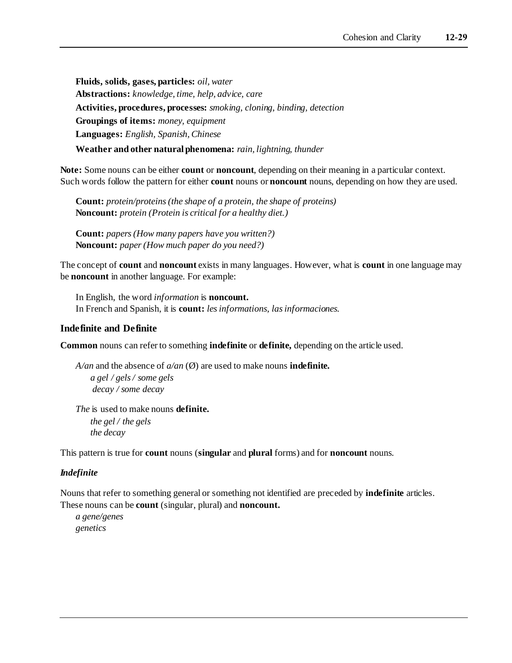**Fluids, solids, gases, particles:** *oil, water* **Abstractions:** *knowledge, time, help, advice, care* **Activities, procedures, processes:** *smoking, cloning, binding, detection* **Groupings of items:** *money, equipment* **Languages:** *English, Spanish, Chinese* **Weather and other natural phenomena:** *rain, lightning, thunder*

**Note:** Some nouns can be either **count** or **noncount**, depending on their meaning in a particular context. Such words follow the pattern for either **count** nouns or **noncount** nouns, depending on how they are used.

**Count:** *protein/proteins (the shape of a protein, the shape of proteins)* **Noncount:** *protein (Protein is critical for a healthy diet.)*

**Count:** *papers (How many papers have you written?)* **Noncount:** *paper (How much paper do you need?)*

The concept of **count** and **noncount** exists in many languages. However, what is **count** in one language may be **noncount** in another language. For example:

In English, the word *information* is **noncount.**  In French and Spanish, it is **count:** *les informations, las informaciones.*

#### **Indefinite and Definite**

**Common** nouns can refer to something **indefinite** or **definite,** depending on the article used.

*A/an* and the absence of *a/an* (Ø) are used to make nouns **indefinite.** *a gel / gels / some gels decay / some decay*

*The* is used to make nouns **definite.** *the gel / the gels the decay* 

This pattern is true for **count** nouns (**singular** and **plural** forms) and for **noncount** nouns.

#### *Indefinite*

Nouns that refer to something general or something not identified are preceded by **indefinite** articles. These nouns can be **count** (singular, plural) and **noncount.**

*a gene/genes genetics*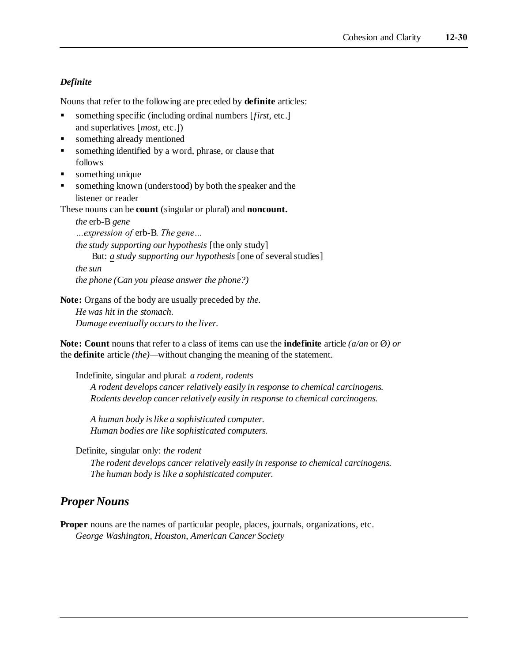#### *Definite*

Nouns that refer to the following are preceded by **definite** articles:

- something specific (including ordinal numbers [*first,* etc.] and superlatives [*most,* etc.])
- something already mentioned
- **•** something identified by a word, phrase, or clause that follows
- something unique
- something known (understood) by both the speaker and the listener or reader

These nouns can be **count** (singular or plural) and **noncount.**

*the* erb-B *gene …expression of* erb-B. *The gene… the study supporting our hypothesis* [the only study] But: *a study supporting our hypothesis* [one of several studies] *the sun the phone (Can you please answer the phone?)*

**Note:** Organs of the body are usually preceded by *the.*

*He was hit in the stomach. Damage eventually occurs to the liver.*

**Note: Count** nouns that refer to a class of items can use the **indefinite** article *(a/an* or Ø*) or* the **definite** article *(the)—*without changing the meaning of the statement.

Indefinite, singular and plural: *a rodent, rodents A rodent develops cancer relatively easily in response to chemical carcinogens. Rodents develop cancer relatively easily in response to chemical carcinogens.*

*A human body is like a sophisticated computer. Human bodies are like sophisticated computers.*

Definite, singular only: *the rodent*

*The rodent develops cancer relatively easily in response to chemical carcinogens. The human body is like a sophisticated computer.*

### *Proper Nouns*

**Proper** nouns are the names of particular people, places, journals, organizations, etc. *George Washington, Houston, American Cancer Society*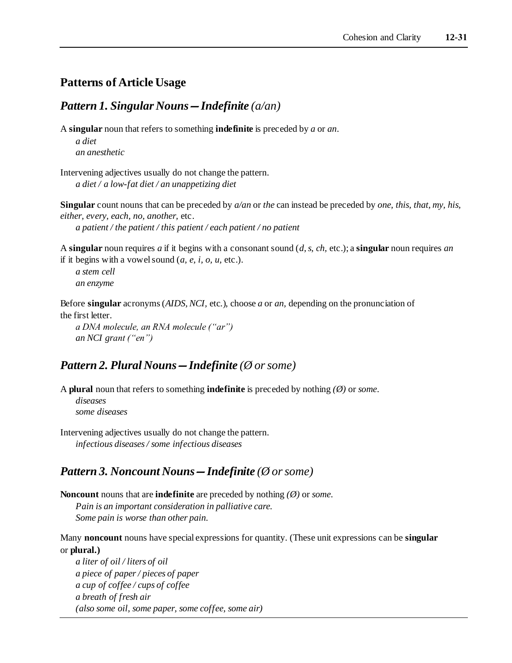### **Patterns of Article Usage**

#### *Pattern 1. Singular Nouns—Indefinite (a/an)*

A **singular** noun that refers to something **indefinite** is preceded by *a* or *an*.

*a diet an anesthetic*

Intervening adjectives usually do not change the pattern. *a diet / a low-fat diet / an unappetizing diet*

**Singular** count nouns that can be preceded by *a/an* or *the* can instead be preceded by *one, this, that, my, his, either, every, each, no, another,* etc. *a patient / the patient / this patient / each patient / no patient*

A **singular** noun requires *a* if it begins with a consonant sound (*d, s, ch,* etc.); a **singular** noun requires *an* if it begins with a vowel sound (*a, e, i, o, u,* etc.).

*a stem cell an enzyme*

Before **singular** acronyms (*AIDS, NCI,* etc.), choose *a* or *an,* depending on the pronunciation of the first letter.

*a DNA molecule, an RNA molecule ("ar") an NCI grant ("en")*

### *Pattern 2. Plural Nouns—Indefinite (Ø or some)*

A **plural** noun that refers to something **indefinite** is preceded by nothing *(Ø)* or *some*. *diseases some diseases*

Intervening adjectives usually do not change the pattern. *infectious diseases / some infectious diseases*

### *Pattern 3. Noncount Nouns—Indefinite (Ø or some)*

**Noncount** nouns that are **indefinite** are preceded by nothing *(Ø)* or *some*. *Pain is an important consideration in palliative care. Some pain is worse than other pain.*

Many **noncount** nouns have special expressions for quantity. (These unit expressions can be **singular** or **plural.)**

*a liter of oil / liters of oil a piece of paper / pieces of paper a cup of coffee / cups of coffee a breath of fresh air (also some oil, some paper, some coffee, some air)*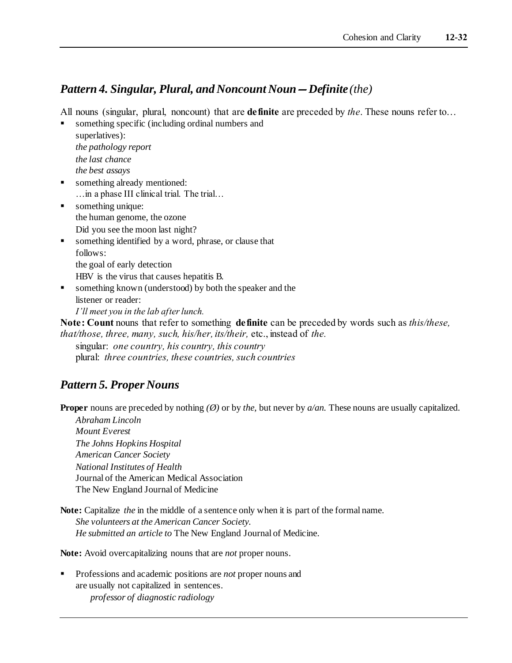### *Pattern 4. Singular, Plural, and Noncount Noun—Definite (the)*

All nouns (singular, plural, noncount) that are **definite** are preceded by *the*. These nouns refer to…

something specific (including ordinal numbers and

superlatives): *the pathology report the last chance the best assays*

- something already mentioned: …in a phase III clinical trial. The trial…
- something unique: the human genome, the ozone Did you see the moon last night?
- something identified by a word, phrase, or clause that follows: the goal of early detection HBV is the virus that causes hepatitis B.
- something known (understood) by both the speaker and the listener or reader:

*I'll meet you in the lab after lunch.*

**Note: Count** nouns that refer to something **definite** can be preceded by words such as *this/these, that/those, three, many, such, his/her, its/their,* etc., instead of *the.*

singular: *one country, his country, this country* plural: *three countries, these countries, such countries*

### *Pattern 5. Proper Nouns*

**Proper** nouns are preceded by nothing *(Ø)* or by *the,* but never by *a/an.* These nouns are usually capitalized.

*Abraham Lincoln Mount Everest The Johns Hopkins Hospital American Cancer Society National Institutes of Health* Journal of the American Medical Association The New England Journal of Medicine

Note: Capitalize *the* in the middle of a sentence only when it is part of the formal name. *She volunteers at the American Cancer Society. He submitted an article to* The New England Journal of Medicine.

**Note:** Avoid overcapitalizing nouns that are *not* proper nouns.

Professions and academic positions are *not* proper nouns and are usually not capitalized in sentences. *professor of diagnostic radiology*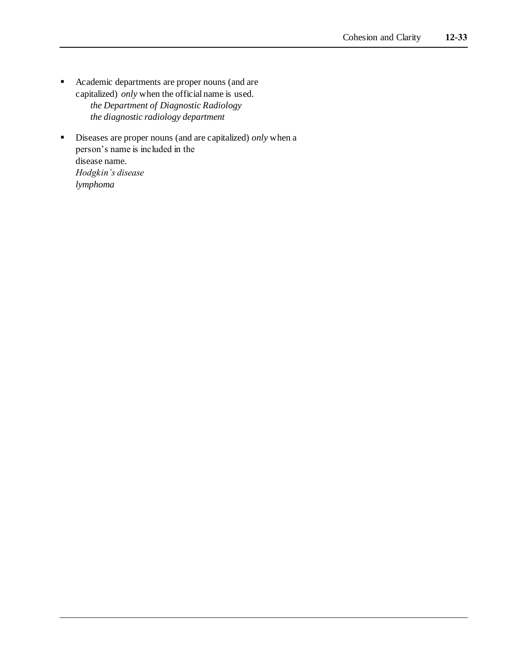- Academic departments are proper nouns (and are capitalized) *only* when the official name is used. *the Department of Diagnostic Radiology the diagnostic radiology department*
- Diseases are proper nouns (and are capitalized) *only* when a person's name is included in the disease name. *Hodgkin's disease lymphoma*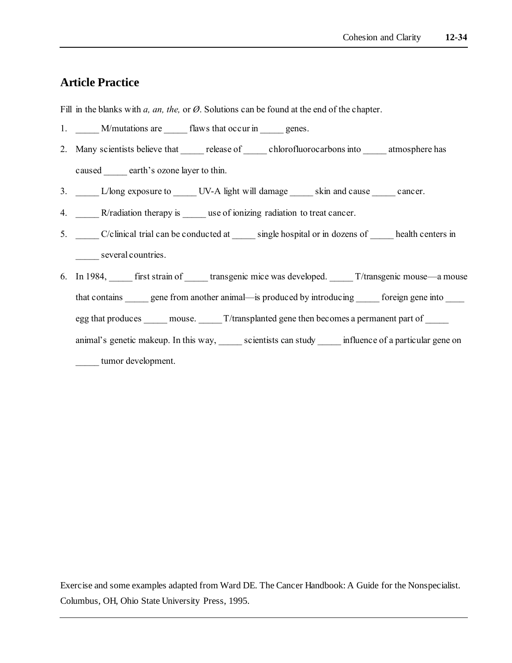### **Article Practice**

Fill in the blanks with *a, an, the,* or *Ø*. Solutions can be found at the end of the chapter.

- 1. M/mutations are flaws that occur in genes.
- 2. Many scientists believe that release of chlorofluorocarbons into atmosphere has caused earth's ozone layer to thin.
- 3. L/long exposure to LV-A light will damage skin and cause cancer.
- 4. R/radiation therapy is use of ionizing radiation to treat cancer.
- 5. \_\_\_\_\_ C/clinical trial can be conducted at \_\_\_\_\_ single hospital or in dozens of \_\_\_\_\_ health centers in several countries.
- 6. In 1984, first strain of transgenic mice was developed. T/transgenic mouse—a mouse that contains energy gene from another animal—is produced by introducing foreign gene into egg that produces mouse.  $\Gamma$ /transplanted gene then becomes a permanent part of animal's genetic makeup. In this way, scientists can study influence of a particular gene on tumor development.

Exercise and some examples adapted from Ward DE. The Cancer Handbook: A Guide for the Nonspecialist. Columbus, OH, Ohio State University Press, 1995.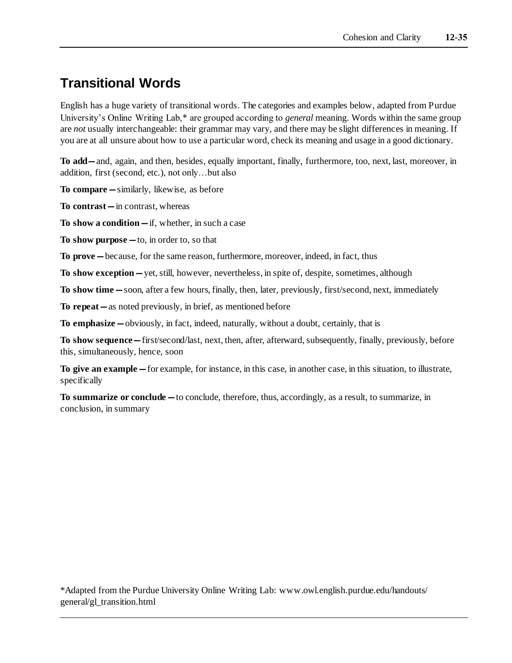# **Transitional Words**

English has a huge variety of transitional words. The categories and examples below, adapted from Purdue University's Online Writing Lab,\* are grouped according to *general* meaning. Words within the same group are *not* usually interchangeable: their grammar may vary, and there may be slight differences in meaning. If you are at all unsure about how to use a particular word, check its meaning and usage in a good dictionary.

**To add—**and, again, and then, besides, equally important, finally, furthermore, too, next, last, moreover, in addition, first (second, etc.), not only…but also

**To compare—**similarly, likewise, as before

**To contrast—**in contrast, whereas

**To show a condition—**if, whether, in such a case

**To show purpose—**to, in order to, so that

**To prove—**because, for the same reason, furthermore, moreover, indeed, in fact, thus

**To show exception—**yet, still, however, nevertheless, in spite of, despite, sometimes, although

**To show time—**soon, after a few hours, finally, then, later, previously, first/second, next, immediately

**To repeat—**as noted previously, in brief, as mentioned before

**To emphasize—**obviously, in fact, indeed, naturally, without a doubt, certainly, that is

**To show sequence—**first/second/last, next, then, after, afterward, subsequently, finally, previously, before this, simultaneously, hence, soon

**To give an example—**for example, for instance, in this case, in another case, in this situation, to illustrate, specifically

**To summarize or conclude—**to conclude, therefore, thus, accordingly, as a result, to summarize, in conclusion, in summary

\*Adapted from the Purdue University Online Writing Lab: www.owl.english.purdue.edu/handouts/ general/gl\_transition.html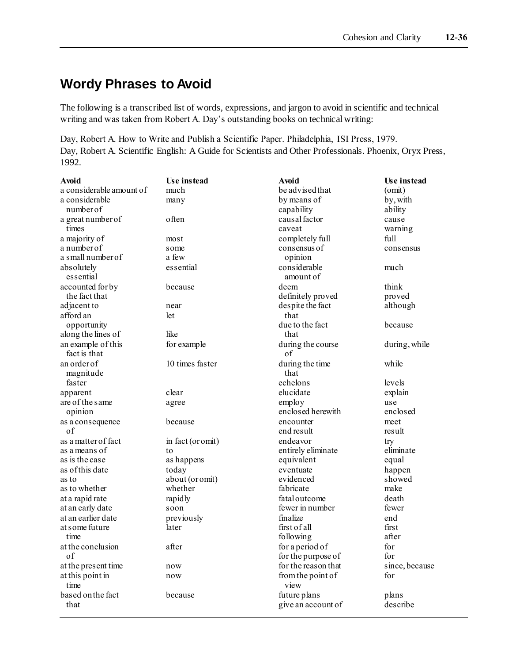# **Wordy Phrases to Avoid**

The following is a transcribed list of words, expressions, and jargon to avoid in scientific and technical writing and was taken from Robert A. Day's outstanding books on technical writing:

Day, Robert A. How to Write and Publish a Scientific Paper. Philadelphia, ISI Press, 1979. Day, Robert A. Scientific English: A Guide for Scientists and Other Professionals. Phoenix, Oryx Press, 1992.

| Avoid                              | Use instead       | <b>Avoid</b>              | Use instead    |
|------------------------------------|-------------------|---------------------------|----------------|
| a considerable amount of           | much              | be advised that           | (omit)         |
| a considerable                     | many              | by means of               | by, with       |
| number of                          |                   | capability                | ability        |
| a great number of                  | often             | causal factor             | cause          |
| times                              |                   | caveat                    | warning        |
| a majority of                      | most              | completely full           | full           |
| a number of                        | some              | consensus of              | consensus      |
| a small number of                  | a few             | opinion                   |                |
| absolutely                         | essential         | considerable              | much           |
| essential                          |                   | amount of                 |                |
| accounted for by                   | because           | deem                      | think          |
| the fact that                      |                   | definitely proved         | proved         |
| adjacent to                        | near              | despite the fact          | although       |
| afford an                          | let               | that                      |                |
| opportunity                        |                   | due to the fact           | because        |
| along the lines of                 | like              | that                      |                |
| an example of this<br>fact is that | for example       | during the course<br>of   | during, while  |
| an order of                        | 10 times faster   | during the time           | while          |
| magnitude                          |                   | that                      |                |
| faster                             |                   | echelons                  | levels         |
| apparent                           | clear             | elucidate                 | explain        |
| are of the same                    | agree             | employ                    | use            |
| opinion                            |                   | enclosed herewith         | enclosed       |
| as a consequence                   | because           | encounter                 | meet           |
| of                                 |                   | end result                | result         |
| as a matter of fact                | in fact (or omit) | endeavor                  | try            |
| as a means of                      | to                | entirely eliminate        | eliminate      |
| as is the case                     | as happens        | equivalent                | equal          |
| as of this date                    | today             | eventuate                 | happen         |
| as to                              | about (or omit)   | evidenced                 | showed         |
| as to whether                      | whether           | fabricate                 | make           |
| at a rapid rate                    | rapidly           | fatal outcome             | death          |
| at an early date                   | soon              | fewer in number           | fewer          |
| at an earlier date                 | previously        | finalize                  | end            |
| at some future                     | later             | first of all              | first          |
| time                               |                   | following                 | after          |
| at the conclusion                  | after             | for a period of           | for            |
| of                                 |                   | for the purpose of        | for            |
| at the present time                | now               | for the reason that       | since, because |
| at this point in<br>time           | now               | from the point of<br>view | for            |
| based on the fact                  | because           | future plans              | plans          |
| that                               |                   | give an account of        | describe       |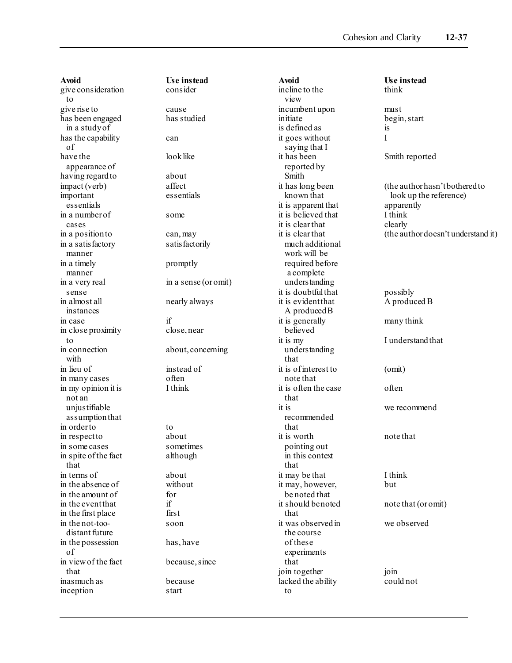**Avoid**<br> **Example 1** Use instead<br> **Example 2** consider give consideration to give rise to cause has been engaged has studied in a study of has the capability can of have the look like appearance of having regard to be about impact (verb) affect important essentials essentials in a number of some cases in a position to can, may in a satisfactory satisfactorily manner in a timely promptly manner in a very real in a sense (or omit) sense in almost all nearly always instances in case if in close proximity close, near to<br>in connection with in lieu of instead of in many cases often<br>in my opinion it is I think in my opinion it is not an uniustifiable assumption that in order to to to in respect to about in some cases sometimes<br>in spite of the fact although in spite of the fact that in terms of about in the absence of without in the amount of for in the event that if in the first place first in the not-too- soon distant future in the possession has, have of in view of the fact because, since that inasmuch as because inception start

about, concerning

**Avoid Use instead** incline to the view incumbent upon must initiate begin, start is defined as is it goes without I saying that I it has been Smith reported reported by Smith it is apparent that apparently it is believed that I think it is clear that clearly much additional work will be required before a complete understanding it is doubtful that possibly it is evident that A produced B A produced B it is generally many think believed it is my I understand that understanding that it is of interest to (omit) note that it is often the case often that it is we recommend recommended that it is worth note that pointing out in this context that it may be that I think it may, however, but be noted that it should be noted note that (or omit) that it was observed in we observed the course of these experiments that join together join lacked the ability could not to

it has long been (the author hasn't bothered to known that look up the reference) it is clear that (the author doesn't understand it)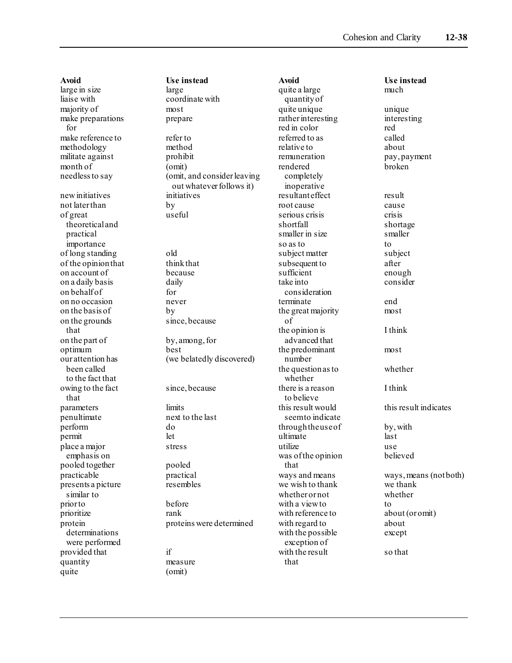**Avoid Use instead** large in size large large<br>liaise with coord majority of most make preparations prepare for make reference to refer to methodology method militate against prohibit month of (omit) new initiatives initiatives not later than by of great useful theoretical and practical importance of long standing old of the opinion that think that on account of because on a daily basis daily on behalf of for on no occasion never on the basis of by on the grounds since, because that on the part of by, among, for optimum best<br>ourattention has (we but been called to the fact that owing to the fact since, because that parameters limits penultimate next to the last perform do permit let place a major stress emphasis on pooled together pooled practicable practical presents a picture resembles similar to prior to before prioritize rank determinations were performed provided that if quantity measure quite (omit)

coordinate with needless to say (omit, and consider leaving out whatever follows it) (we belatedly discovered) protein proteins were determined

quite a large much quantity of quite unique unique rather interesting interesting red in color red referred to as called relative to about remuneration pay, payment rendered broken completely inoperative resultant effect result root cause cause serious crisis crisis shortfall shortage smaller in size smaller so as to to to to to to to to to the solution of the solution of the solution of the solution of the solution of the solution of the solution of the solution of the solution of the solution of the solution of the solution subject matter subject subsequent to after sufficient enough take into consider consideration terminate end the great majority most of the opinion is I think advanced that the predominant most number the question as to whether whether there is a reason I think to believe<br>this result would seem to indicate through the use of by, with<br>ultimate last ultimate utilize use<br>was of the opinion believed was of the opinion that we wish to thank we thank whether or not whether with a view to to to with reference to about (or omit) with regard to about with the possible except exception of with the result so that that

**Avoid Use instead** this result indicates ways and means ways, means (not both)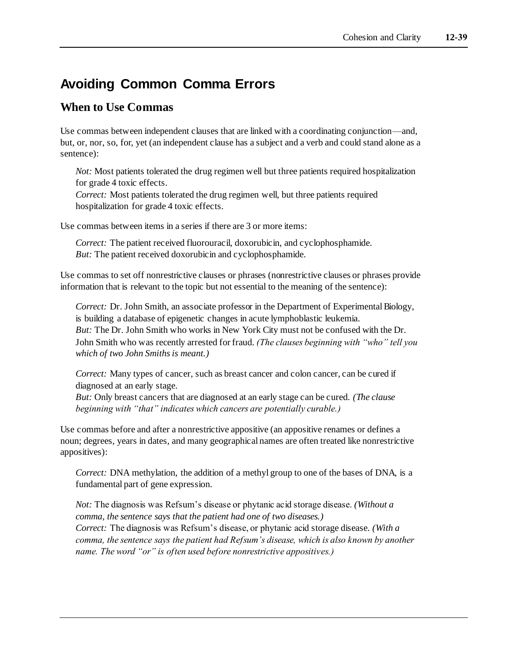# **Avoiding Common Comma Errors**

### **When to Use Commas**

Use commas between independent clauses that are linked with a coordinating conjunction—and, but, or, nor, so, for, yet (an independent clause has a subject and a verb and could stand alone as a sentence):

*Not:* Most patients tolerated the drug regimen well but three patients required hospitalization for grade 4 toxic effects.

*Correct:* Most patients tolerated the drug regimen well, but three patients required hospitalization for grade 4 toxic effects.

Use commas between items in a series if there are 3 or more items:

*Correct:* The patient received fluorouracil, doxorubicin, and cyclophosphamide. *But:* The patient received doxorubicin and cyclophosphamide.

Use commas to set off nonrestrictive clauses or phrases (nonrestrictive clauses or phrases provide information that is relevant to the topic but not essential to the meaning of the sentence):

*Correct:* Dr. John Smith, an associate professor in the Department of Experimental Biology, is building a database of epigenetic changes in acute lymphoblastic leukemia. *But:* The Dr. John Smith who works in New York City must not be confused with the Dr. John Smith who was recently arrested for fraud. *(The clauses beginning with "who" tell you which of two John Smiths is meant.)*

*Correct:* Many types of cancer, such as breast cancer and colon cancer, can be cured if diagnosed at an early stage.

*But:* Only breast cancers that are diagnosed at an early stage can be cured. *(The clause beginning with "that" indicates which cancers are potentially curable.)*

Use commas before and after a nonrestrictive appositive (an appositive renames or defines a noun; degrees, years in dates, and many geographical names are often treated like nonrestrictive appositives):

*Correct:* DNA methylation, the addition of a methyl group to one of the bases of DNA, is a fundamental part of gene expression.

*Not:* The diagnosis was Refsum's disease or phytanic acid storage disease. *(Without a comma, the sentence says that the patient had one of two diseases.) Correct:* The diagnosis was Refsum's disease, or phytanic acid storage disease. *(With a comma, the sentence says the patient had Refsum's disease, which is also known by another name. The word "or" is often used before nonrestrictive appositives.)*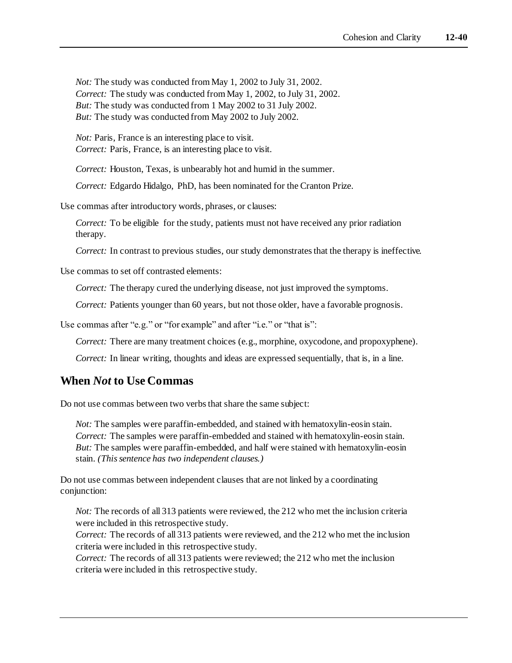*Not:* The study was conducted from May 1, 2002 to July 31, 2002. *Correct:* The study was conducted from May 1, 2002, to July 31, 2002. *But:* The study was conducted from 1 May 2002 to 31 July 2002. *But:* The study was conducted from May 2002 to July 2002.

*Not:* Paris, France is an interesting place to visit. *Correct:* Paris, France, is an interesting place to visit.

*Correct:* Houston, Texas, is unbearably hot and humid in the summer.

*Correct:* Edgardo Hidalgo, PhD, has been nominated for the Cranton Prize.

Use commas after introductory words, phrases, or clauses:

*Correct:* To be eligible for the study, patients must not have received any prior radiation therapy.

*Correct:* In contrast to previous studies, our study demonstrates that the therapy is ineffective.

Use commas to set off contrasted elements:

*Correct:* The therapy cured the underlying disease, not just improved the symptoms.

*Correct:* Patients younger than 60 years, but not those older, have a favorable prognosis.

Use commas after "e.g." or "for example" and after "i.e." or "that is":

*Correct:* There are many treatment choices (e.g., morphine, oxycodone, and propoxyphene).

*Correct:* In linear writing, thoughts and ideas are expressed sequentially, that is, in a line.

### **When** *Not* **to Use Commas**

Do not use commas between two verbs that share the same subject:

*Not:* The samples were paraffin-embedded, and stained with hematoxylin-eosin stain. *Correct:* The samples were paraffin-embedded and stained with hematoxylin-eosin stain. *But:* The samples were paraffin-embedded, and half were stained with hematoxylin-eosin stain. *(This sentence has two independent clauses.)*

Do not use commas between independent clauses that are not linked by a coordinating conjunction:

*Not:* The records of all 313 patients were reviewed, the 212 who met the inclusion criteria were included in this retrospective study.

*Correct:* The records of all 313 patients were reviewed, and the 212 who met the inclusion criteria were included in this retrospective study.

*Correct:* The records of all 313 patients were reviewed; the 212 who met the inclusion criteria were included in this retrospective study.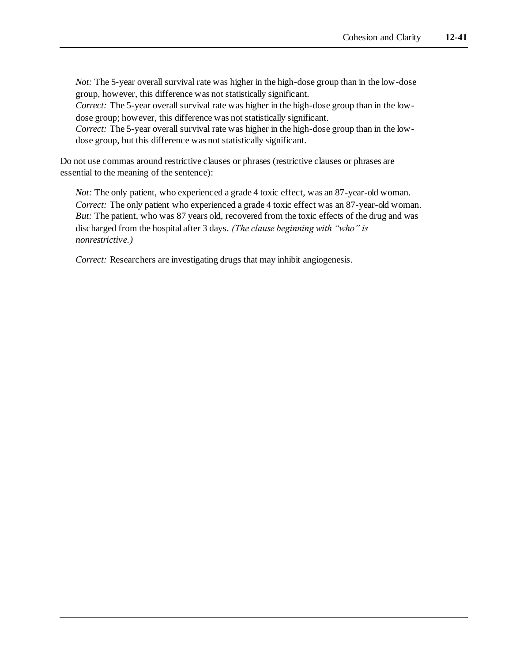*Not:* The 5-year overall survival rate was higher in the high-dose group than in the low-dose group, however, this difference was not statistically significant.

*Correct:* The 5-year overall survival rate was higher in the high-dose group than in the lowdose group; however, this difference was not statistically significant.

*Correct:* The 5-year overall survival rate was higher in the high-dose group than in the lowdose group, but this difference was not statistically significant.

Do not use commas around restrictive clauses or phrases (restrictive clauses or phrases are essential to the meaning of the sentence):

*Not:* The only patient, who experienced a grade 4 toxic effect, was an 87-year-old woman. *Correct:* The only patient who experienced a grade 4 toxic effect was an 87-year-old woman. *But:* The patient, who was 87 years old, recovered from the toxic effects of the drug and was discharged from the hospital after 3 days. *(The clause beginning with "who" is nonrestrictive.)*

*Correct:* Researchers are investigating drugs that may inhibit angiogenesis.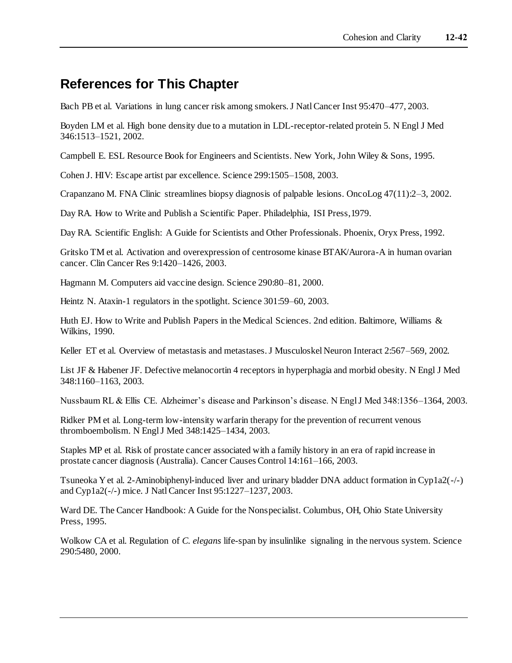# **References for This Chapter**

Bach PB et al. Variations in lung cancer risk among smokers. J Natl Cancer Inst 95:470–477, 2003.

Boyden LM et al. High bone density due to a mutation in LDL-receptor-related protein 5. N Engl J Med 346:1513–1521, 2002.

Campbell E. ESL Resource Book for Engineers and Scientists. New York, John Wiley & Sons, 1995.

Cohen J. HIV: Escape artist par excellence. Science 299:1505–1508, 2003.

Crapanzano M. FNA Clinic streamlines biopsy diagnosis of palpable lesions. OncoLog 47(11):2–3, 2002.

Day RA. How to Write and Publish a Scientific Paper. Philadelphia, ISI Press,1979.

Day RA. Scientific English: A Guide for Scientists and Other Professionals. Phoenix, Oryx Press, 1992.

Gritsko TM et al. Activation and overexpression of centrosome kinase BTAK/Aurora-A in human ovarian cancer. Clin Cancer Res 9:1420–1426, 2003.

Hagmann M. Computers aid vaccine design. Science 290:80–81, 2000.

Heintz N. Ataxin-1 regulators in the spotlight. Science 301:59–60, 2003.

Huth EJ. How to Write and Publish Papers in the Medical Sciences. 2nd edition. Baltimore, Williams & Wilkins, 1990.

Keller ET et al. Overview of metastasis and metastases. J Musculoskel Neuron Interact 2:567–569, 2002.

List JF & Habener JF. Defective melanocortin 4 receptors in hyperphagia and morbid obesity. N Engl J Med 348:1160–1163, 2003.

Nussbaum RL & Ellis CE. Alzheimer's disease and Parkinson's disease. N Engl J Med 348:1356–1364, 2003.

Ridker PM et al. Long-term low-intensity warfarin therapy for the prevention of recurrent venous thromboembolism. N Engl J Med 348:1425–1434, 2003.

Staples MP et al. Risk of prostate cancer associated with a family history in an era of rapid increase in prostate cancer diagnosis (Australia). Cancer Causes Control 14:161–166, 2003.

Tsuneoka Y et al. 2-Aminobiphenyl-induced liver and urinary bladder DNA adduct formation in Cyp1a2(-/-) and Cyp1a2(-/-) mice. J Natl Cancer Inst 95:1227–1237, 2003.

Ward DE. The Cancer Handbook: A Guide for the Nonspecialist. Columbus, OH, Ohio State University Press, 1995.

Wolkow CA et al. Regulation of *C. elegans* life-span by insulinlike signaling in the nervous system. Science 290:5480, 2000.